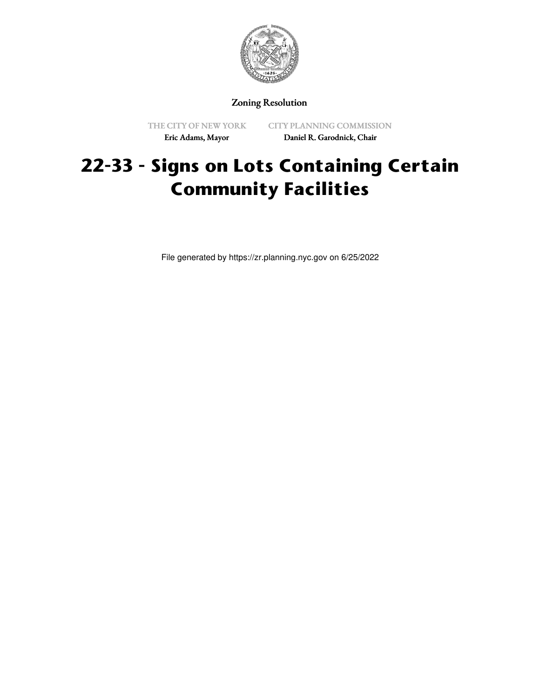

Zoning Resolution

THE CITY OF NEW YORK Eric Adams, Mayor

CITY PLANNING COMMISSION Daniel R. Garodnick, Chair

# **22-33 - Signs on Lots Containing Certain Community Facilities**

File generated by https://zr.planning.nyc.gov on 6/25/2022